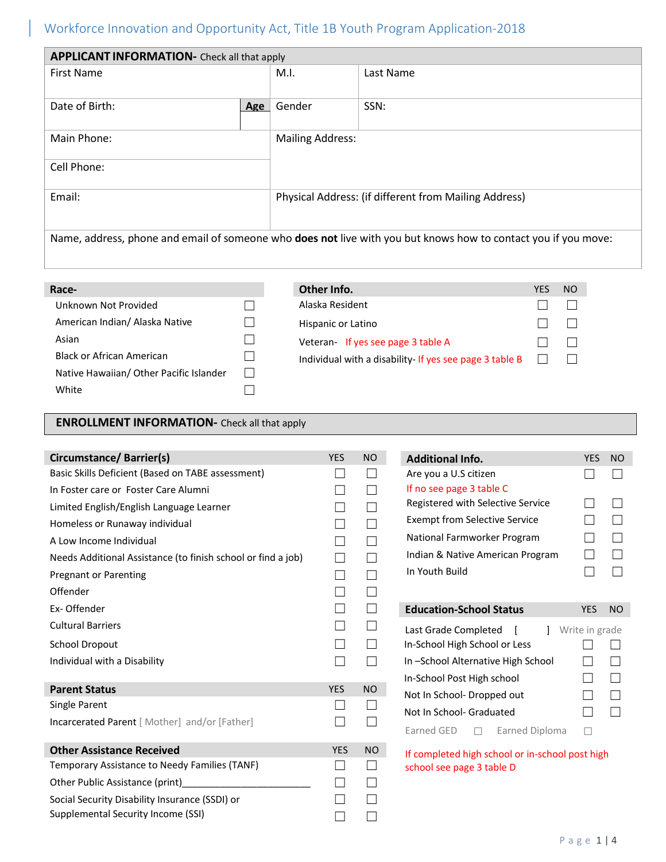# Workforce Innovation and Opportunity Act, Title 1B Youth Program Application-2018

| <b>APPLICANT INFORMATION-</b> Check all that apply                                                             |     |                         |                                                       |  |  |
|----------------------------------------------------------------------------------------------------------------|-----|-------------------------|-------------------------------------------------------|--|--|
| First Name                                                                                                     |     | M.I.                    | Last Name                                             |  |  |
| Date of Birth:                                                                                                 | Age | Gender                  | SSN:                                                  |  |  |
| Main Phone:                                                                                                    |     | <b>Mailing Address:</b> |                                                       |  |  |
| Cell Phone:                                                                                                    |     |                         |                                                       |  |  |
| Email:                                                                                                         |     |                         | Physical Address: (if different from Mailing Address) |  |  |
| Name, address, phone and email of someone who does not live with you but knows how to contact you if you move: |     |                         |                                                       |  |  |

| Race-                                   | Other Info.                                             | YES | N <sub>O</sub> |
|-----------------------------------------|---------------------------------------------------------|-----|----------------|
| Unknown Not Provided                    | Alaska Resident                                         |     |                |
| American Indian/ Alaska Native          | Hispanic or Latino                                      |     |                |
| Asian                                   | Veteran- If yes see page 3 table A                      |     |                |
| Black or African American               | Individual with a disability- If yes see page 3 table B |     |                |
| Native Hawaiian/ Other Pacific Islander |                                                         |     |                |
| White                                   |                                                         |     |                |

#### **ENROLLMENT INFORMATION-** Check all that apply

| Circumstance/ Barrier(s)                                     | <b>YES</b> | <b>NO</b> |
|--------------------------------------------------------------|------------|-----------|
| Basic Skills Deficient (Based on TABE assessment)            |            |           |
| In Foster care or Foster Care Alumni                         |            |           |
| Limited English/English Language Learner                     |            |           |
| Homeless or Runaway individual                               |            |           |
| A Low Income Individual                                      |            |           |
| Needs Additional Assistance (to finish school or find a job) |            | $\Box$    |
| <b>Pregnant or Parenting</b>                                 |            |           |
| Offender                                                     |            |           |
| Ex-Offender                                                  |            |           |
| <b>Cultural Barriers</b>                                     |            |           |
| <b>School Dropout</b>                                        |            |           |
| Individual with a Disability                                 |            |           |
|                                                              |            |           |
| <b>Parent Status</b>                                         | <b>YES</b> | <b>NO</b> |
| Single Parent                                                |            |           |
| Incarcerated Parent [ Mother] and/or [Father]                |            |           |
| <b>Other Assistance Received</b>                             | <b>YES</b> | <b>NO</b> |
| Temporary Assistance to Needy Families (TANF)                |            |           |
| Other Public Assistance (print)                              |            |           |
| Social Security Disability Insurance (SSDI) or               |            |           |
| Supplemental Security Income (SSI)                           |            |           |

| <b>Additional Info.</b>                     | <b>YES</b>     | <b>NO</b>                |
|---------------------------------------------|----------------|--------------------------|
| Are you a U.S citizen                       |                |                          |
| If no see page 3 table C                    |                |                          |
| Registered with Selective Service           | a se           | L                        |
| <b>Exempt from Selective Service</b>        |                | I.                       |
| National Farmworker Program                 |                | Г                        |
| Indian & Native American Program            |                | r.                       |
| In Youth Build                              |                |                          |
|                                             |                |                          |
|                                             |                |                          |
|                                             |                |                          |
| <b>Education-School Status</b>              | YES            | <b>NO</b>                |
| $\mathbf{1}$<br>Last Grade Completed<br>- 1 | Write in grade |                          |
| In-School High School or Less               |                |                          |
| In-School Alternative High School           |                | $\mathcal{L}$            |
| In-School Post High school                  |                | $\overline{\phantom{0}}$ |
| Not In School-Dropped out                   |                | $\mathcal{L}$            |
| Not In School- Graduated                    |                |                          |
| Earned GED<br>Earned Diploma                |                |                          |

If completed high school or in-school post high school see page 3 table D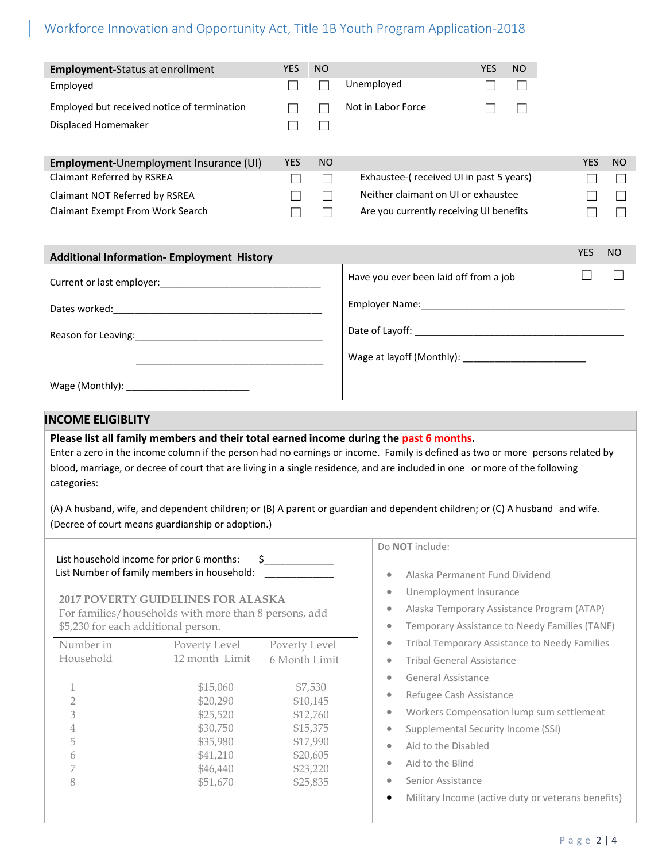# Workforce Innovation and Opportunity Act, Title 1B Youth Program Application-2018

| <b>Employment-Status at enrollment</b>                                                                                                                                                                                                                                                                                                                                                                                                                                                                                                                     | <b>YES</b>                                                       | NO                                                                                          |                                                                                                                                                                                                                                                                                                                                                                                                                                                                                                                                                                                                                 | <b>YES</b> | <b>NO</b> |                                                    |          |
|------------------------------------------------------------------------------------------------------------------------------------------------------------------------------------------------------------------------------------------------------------------------------------------------------------------------------------------------------------------------------------------------------------------------------------------------------------------------------------------------------------------------------------------------------------|------------------------------------------------------------------|---------------------------------------------------------------------------------------------|-----------------------------------------------------------------------------------------------------------------------------------------------------------------------------------------------------------------------------------------------------------------------------------------------------------------------------------------------------------------------------------------------------------------------------------------------------------------------------------------------------------------------------------------------------------------------------------------------------------------|------------|-----------|----------------------------------------------------|----------|
| Employed                                                                                                                                                                                                                                                                                                                                                                                                                                                                                                                                                   | $\mathbf{L}$                                                     | $\vert \ \ \vert$                                                                           | Unemployed                                                                                                                                                                                                                                                                                                                                                                                                                                                                                                                                                                                                      |            | L         |                                                    |          |
| Employed but received notice of termination<br>Displaced Homemaker                                                                                                                                                                                                                                                                                                                                                                                                                                                                                         | $\vert \ \ \vert$                                                | $\vert \ \ \vert$                                                                           | Not in Labor Force                                                                                                                                                                                                                                                                                                                                                                                                                                                                                                                                                                                              |            | H         |                                                    |          |
| Employment-Unemployment Insurance (UI)<br>Claimant Referred by RSREA<br>Claimant NOT Referred by RSREA<br>Claimant Exempt From Work Search<br><b>Additional Information- Employment History</b>                                                                                                                                                                                                                                                                                                                                                            | <b>YES</b><br>ப<br>$\overline{\phantom{a}}$<br>$\vert \ \ \vert$ | <b>NO</b><br>$\perp$<br>$\perp$<br>$\mathsf{L}$                                             | Exhaustee-(received UI in past 5 years)<br>Neither claimant on UI or exhaustee<br>Are you currently receiving UI benefits                                                                                                                                                                                                                                                                                                                                                                                                                                                                                       |            |           | <b>YES</b><br><b>YES</b>                           | NO<br>NO |
|                                                                                                                                                                                                                                                                                                                                                                                                                                                                                                                                                            |                                                                  |                                                                                             | Have you ever been laid off from a job                                                                                                                                                                                                                                                                                                                                                                                                                                                                                                                                                                          |            |           |                                                    |          |
| Dates worked: National Contract of the United States worked:                                                                                                                                                                                                                                                                                                                                                                                                                                                                                               |                                                                  |                                                                                             |                                                                                                                                                                                                                                                                                                                                                                                                                                                                                                                                                                                                                 |            |           |                                                    |          |
|                                                                                                                                                                                                                                                                                                                                                                                                                                                                                                                                                            |                                                                  |                                                                                             |                                                                                                                                                                                                                                                                                                                                                                                                                                                                                                                                                                                                                 |            |           |                                                    |          |
| <u> 1989 - Johann Harry Harry Harry Harry Harry Harry Harry Harry Harry Harry Harry Harry Harry Harry Harry Harry</u>                                                                                                                                                                                                                                                                                                                                                                                                                                      |                                                                  |                                                                                             |                                                                                                                                                                                                                                                                                                                                                                                                                                                                                                                                                                                                                 |            |           |                                                    |          |
| <b>INCOME ELIGIBLITY</b>                                                                                                                                                                                                                                                                                                                                                                                                                                                                                                                                   |                                                                  |                                                                                             |                                                                                                                                                                                                                                                                                                                                                                                                                                                                                                                                                                                                                 |            |           |                                                    |          |
| Please list all family members and their total earned income during the past 6 months.<br>Enter a zero in the income column if the person had no earnings or income. Family is defined as two or more persons related by<br>blood, marriage, or decree of court that are living in a single residence, and are included in one or more of the following<br>categories:<br>(A) A husband, wife, and dependent children; or (B) A parent or guardian and dependent children; or (C) A husband and wife.<br>(Decree of court means guardianship or adoption.) |                                                                  |                                                                                             |                                                                                                                                                                                                                                                                                                                                                                                                                                                                                                                                                                                                                 |            |           |                                                    |          |
| \$<br>List household income for prior 6 months:<br>List Number of family members in household:<br><b>2017 POVERTY GUIDELINES FOR ALASKA</b><br>For families/households with more than 8 persons, add<br>\$5,230 for each additional person.<br>Number in<br>Poverty Level<br>12 month Limit<br>Household<br>\$15,060<br>1<br>$\overline{2}$<br>\$20,290<br>3<br>\$25,520<br>\$30,750<br>4<br>5<br>\$35,980<br>\$41,210<br>6<br>7<br>\$46,440<br>8<br>\$51,670                                                                                              | Poverty Level<br>6 Month Limit                                   | \$7,530<br>\$10,145<br>\$12,760<br>\$15,375<br>\$17,990<br>\$20,605<br>\$23,220<br>\$25,835 | Do NOT include:<br>Alaska Permanent Fund Dividend<br>٠<br>Unemployment Insurance<br>۰<br>Alaska Temporary Assistance Program (ATAP)<br>۰<br>Temporary Assistance to Needy Families (TANF)<br>۰<br>Tribal Temporary Assistance to Needy Families<br>$\bullet$<br><b>Tribal General Assistance</b><br>$\bullet$<br><b>General Assistance</b><br>$\bullet$<br>Refugee Cash Assistance<br>$\bullet$<br>Workers Compensation lump sum settlement<br>۰<br>Supplemental Security Income (SSI)<br>$\bullet$<br>Aid to the Disabled<br>$\bullet$<br>Aid to the Blind<br>$\bullet$<br>Senior Assistance<br>۰<br>$\bullet$ |            |           | Military Income (active duty or veterans benefits) |          |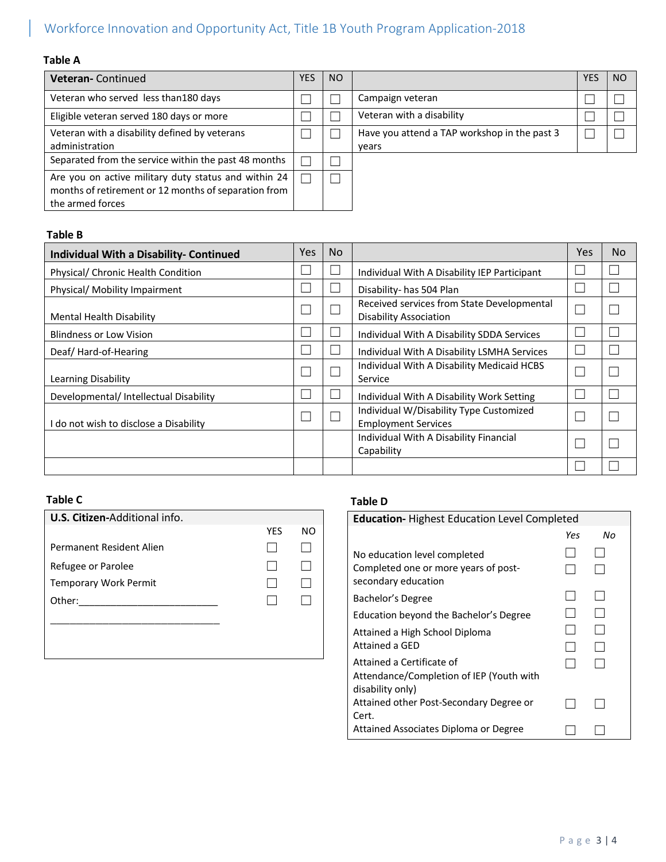# Workforce Innovation and Opportunity Act, Title 1B Youth Program Application-2018

### **Table A**

| <b>Veteran-Continued</b>                                                                                                         | YES | <b>NO</b> |                                                       | <b>YES</b> | NO. |
|----------------------------------------------------------------------------------------------------------------------------------|-----|-----------|-------------------------------------------------------|------------|-----|
| Veteran who served less than 180 days                                                                                            |     |           | Campaign veteran                                      |            |     |
| Eligible veteran served 180 days or more                                                                                         |     |           | Veteran with a disability                             |            |     |
| Veteran with a disability defined by veterans<br>administration                                                                  |     |           | Have you attend a TAP workshop in the past 3<br>years |            |     |
| Separated from the service within the past 48 months                                                                             |     |           |                                                       |            |     |
| Are you on active military duty status and within 24<br>months of retirement or 12 months of separation from<br>the armed forces |     |           |                                                       |            |     |

#### **Table B**

| <b>Individual With a Disability- Continued</b> | <b>Yes</b> | <b>No</b> |                                                                             | Yes | No. |
|------------------------------------------------|------------|-----------|-----------------------------------------------------------------------------|-----|-----|
| Physical/ Chronic Health Condition             |            |           | Individual With A Disability IEP Participant                                |     |     |
| Physical/ Mobility Impairment                  |            |           | Disability- has 504 Plan                                                    |     |     |
| Mental Health Disability                       |            |           | Received services from State Developmental<br><b>Disability Association</b> |     |     |
| <b>Blindness or Low Vision</b>                 |            |           | Individual With A Disability SDDA Services                                  |     |     |
| Deaf/Hard-of-Hearing                           |            |           | Individual With A Disability LSMHA Services                                 |     |     |
| Learning Disability                            |            |           | Individual With A Disability Medicaid HCBS<br>Service                       |     |     |
| Developmental/ Intellectual Disability         |            |           | Individual With A Disability Work Setting                                   |     |     |
| I do not wish to disclose a Disability         |            |           | Individual W/Disability Type Customized<br><b>Employment Services</b>       |     |     |
|                                                |            |           | Individual With A Disability Financial<br>Capability                        |     |     |
|                                                |            |           |                                                                             |     |     |

| U.S. Citizen-Additional info. |     |    |
|-------------------------------|-----|----|
|                               | YES | NO |
| Permanent Resident Alien      |     |    |
| Refugee or Parolee            |     |    |
| <b>Temporary Work Permit</b>  |     |    |
| Other:                        |     |    |
|                               |     |    |
|                               |     |    |
|                               |     |    |

## **Table C Table D**

| <b>Education-</b> Highest Education Level Completed          |     |    |  |  |
|--------------------------------------------------------------|-----|----|--|--|
|                                                              | Yes | Nο |  |  |
| No education level completed                                 |     |    |  |  |
| Completed one or more years of post-<br>secondary education  |     |    |  |  |
| Bachelor's Degree                                            |     |    |  |  |
| Education beyond the Bachelor's Degree                       |     |    |  |  |
| Attained a High School Diploma                               |     |    |  |  |
| Attained a GFD                                               |     |    |  |  |
| Attained a Certificate of                                    |     |    |  |  |
| Attendance/Completion of IEP (Youth with<br>disability only) |     |    |  |  |
| Attained other Post-Secondary Degree or<br>Cert.             |     |    |  |  |
| Attained Associates Diploma or Degree                        |     |    |  |  |